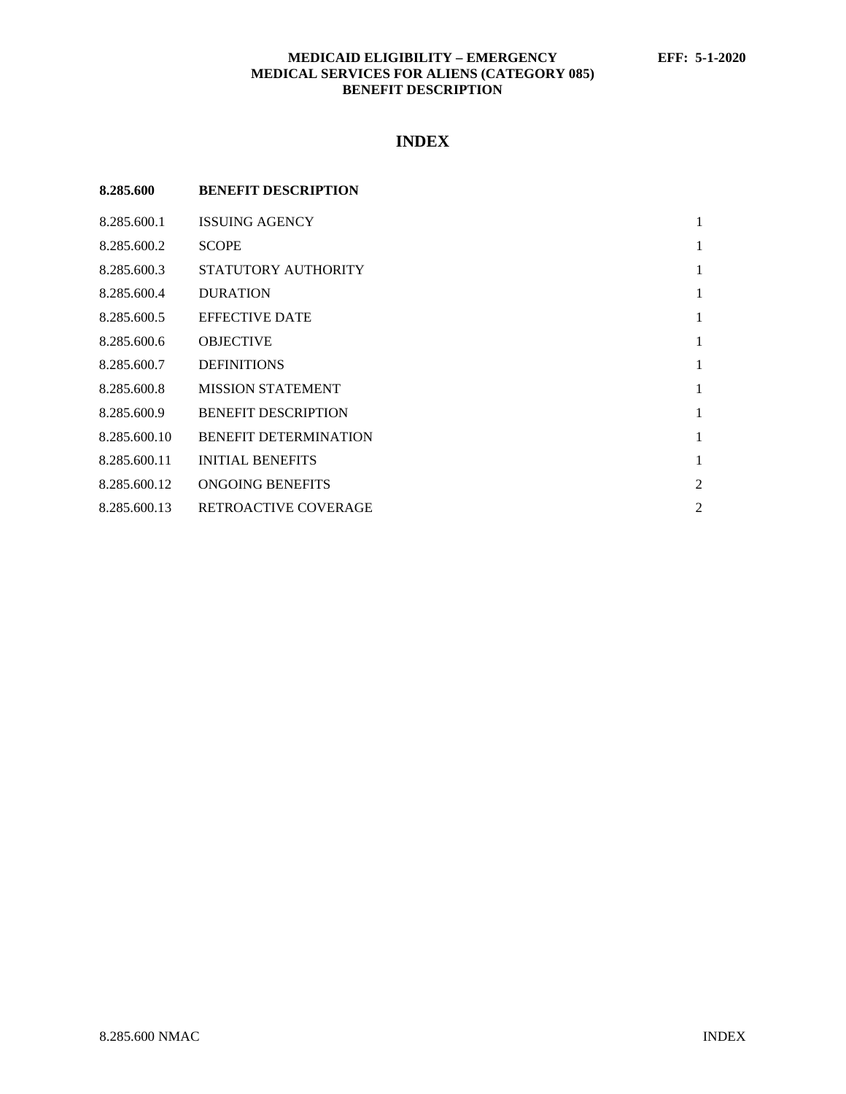# **MEDICAID ELIGIBILITY – EMERGENCY EFF: 5-1-2020 MEDICAL SERVICES FOR ALIENS (CATEGORY 085) BENEFIT DESCRIPTION**

# **INDEX**

| 8.285.600    | <b>BENEFIT DESCRIPTION</b>   |                |
|--------------|------------------------------|----------------|
| 8.285.600.1  | <b>ISSUING AGENCY</b>        | 1              |
| 8.285.600.2  | <b>SCOPE</b>                 | 1              |
| 8.285.600.3  | STATUTORY AUTHORITY          | 1              |
| 8.285.600.4  | <b>DURATION</b>              | 1              |
| 8.285.600.5  | <b>EFFECTIVE DATE</b>        | 1              |
| 8.285.600.6  | <b>OBJECTIVE</b>             | 1              |
| 8.285.600.7  | <b>DEFINITIONS</b>           | 1              |
| 8.285.600.8  | <b>MISSION STATEMENT</b>     | 1              |
| 8.285.600.9  | <b>BENEFIT DESCRIPTION</b>   | 1              |
| 8.285.600.10 | <b>BENEFIT DETERMINATION</b> | 1              |
| 8.285.600.11 | <b>INITIAL BENEFITS</b>      | 1              |
| 8.285.600.12 | ONGOING BENEFITS             | $\overline{c}$ |
| 8.285.600.13 | <b>RETROACTIVE COVERAGE</b>  | 2              |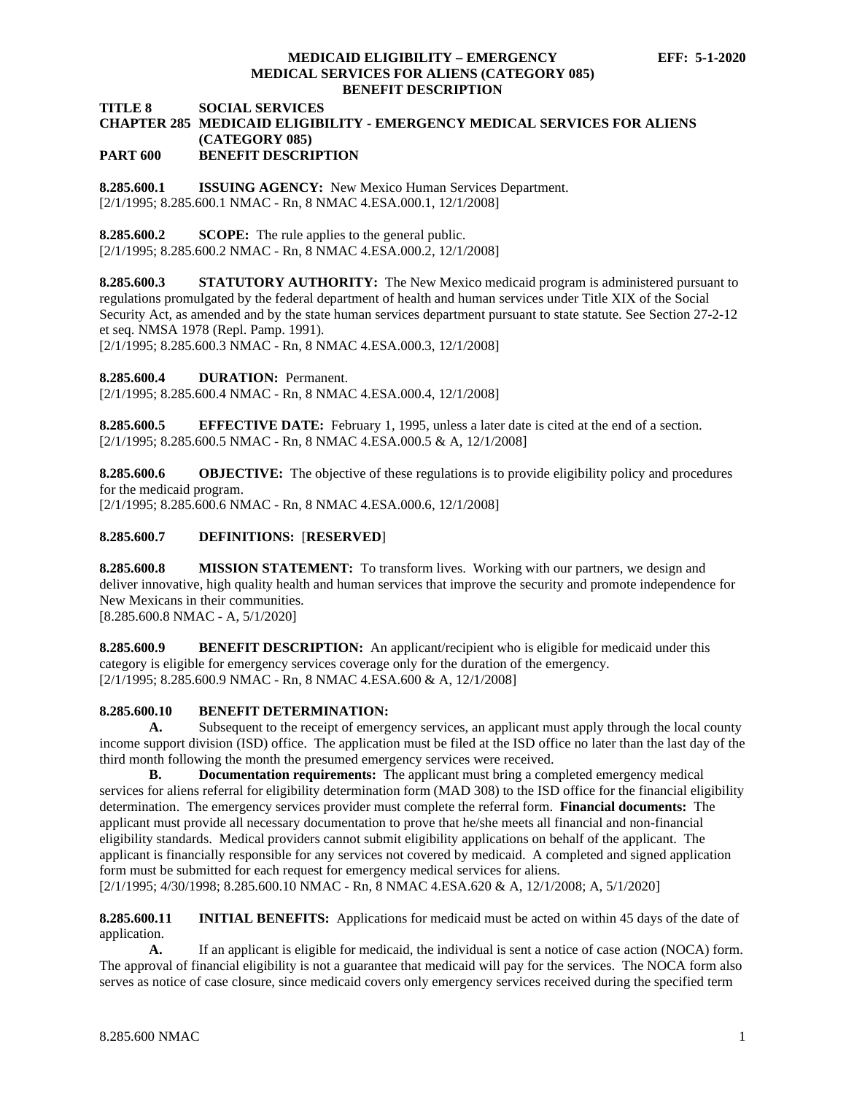# **MEDICAID ELIGIBILITY – EMERGENCY EFF: 5-1-2020 MEDICAL SERVICES FOR ALIENS (CATEGORY 085) BENEFIT DESCRIPTION**

**TITLE 8 SOCIAL SERVICES**

#### **CHAPTER 285 MEDICAID ELIGIBILITY - EMERGENCY MEDICAL SERVICES FOR ALIENS (CATEGORY 085) PART 600 BENEFIT DESCRIPTION**

<span id="page-1-0"></span>**8.285.600.1 ISSUING AGENCY:** New Mexico Human Services Department. [2/1/1995; 8.285.600.1 NMAC - Rn, 8 NMAC 4.ESA.000.1, 12/1/2008]

<span id="page-1-1"></span>**8.285.600.2 SCOPE:** The rule applies to the general public. [2/1/1995; 8.285.600.2 NMAC - Rn, 8 NMAC 4.ESA.000.2, 12/1/2008]

<span id="page-1-2"></span>**8.285.600.3 STATUTORY AUTHORITY:** The New Mexico medicaid program is administered pursuant to regulations promulgated by the federal department of health and human services under Title XIX of the Social Security Act, as amended and by the state human services department pursuant to state statute. See Section 27-2-12 et seq. NMSA 1978 (Repl. Pamp. 1991).

[2/1/1995; 8.285.600.3 NMAC - Rn, 8 NMAC 4.ESA.000.3, 12/1/2008]

<span id="page-1-3"></span>**8.285.600.4 DURATION:** Permanent.

[2/1/1995; 8.285.600.4 NMAC - Rn, 8 NMAC 4.ESA.000.4, 12/1/2008]

<span id="page-1-4"></span>**8.285.600.5 EFFECTIVE DATE:** February 1, 1995, unless a later date is cited at the end of a section. [2/1/1995; 8.285.600.5 NMAC - Rn, 8 NMAC 4.ESA.000.5 & A, 12/1/2008]

<span id="page-1-5"></span>**8.285.600.6 OBJECTIVE:** The objective of these regulations is to provide eligibility policy and procedures for the medicaid program.

[2/1/1995; 8.285.600.6 NMAC - Rn, 8 NMAC 4.ESA.000.6, 12/1/2008]

# <span id="page-1-6"></span>**8.285.600.7 DEFINITIONS:** [**RESERVED**]

<span id="page-1-7"></span>**8.285.600.8 MISSION STATEMENT:** To transform lives. Working with our partners, we design and deliver innovative, high quality health and human services that improve the security and promote independence for New Mexicans in their communities. [8.285.600.8 NMAC - A, 5/1/2020]

<span id="page-1-8"></span>**8.285.600.9 BENEFIT DESCRIPTION:** An applicant/recipient who is eligible for medicaid under this category is eligible for emergency services coverage only for the duration of the emergency. [2/1/1995; 8.285.600.9 NMAC - Rn, 8 NMAC 4.ESA.600 & A, 12/1/2008]

## <span id="page-1-9"></span>**8.285.600.10 BENEFIT DETERMINATION:**

**A.** Subsequent to the receipt of emergency services, an applicant must apply through the local county income support division (ISD) office. The application must be filed at the ISD office no later than the last day of the third month following the month the presumed emergency services were received.

**B. Documentation requirements:** The applicant must bring a completed emergency medical services for aliens referral for eligibility determination form (MAD 308) to the ISD office for the financial eligibility determination. The emergency services provider must complete the referral form. **Financial documents:** The applicant must provide all necessary documentation to prove that he/she meets all financial and non-financial eligibility standards. Medical providers cannot submit eligibility applications on behalf of the applicant. The applicant is financially responsible for any services not covered by medicaid. A completed and signed application form must be submitted for each request for emergency medical services for aliens.

[2/1/1995; 4/30/1998; 8.285.600.10 NMAC - Rn, 8 NMAC 4.ESA.620 & A, 12/1/2008; A, 5/1/2020]

<span id="page-1-10"></span>**8.285.600.11 INITIAL BENEFITS:** Applications for medicaid must be acted on within 45 days of the date of application.

**A.** If an applicant is eligible for medicaid, the individual is sent a notice of case action (NOCA) form. The approval of financial eligibility is not a guarantee that medicaid will pay for the services. The NOCA form also serves as notice of case closure, since medicaid covers only emergency services received during the specified term